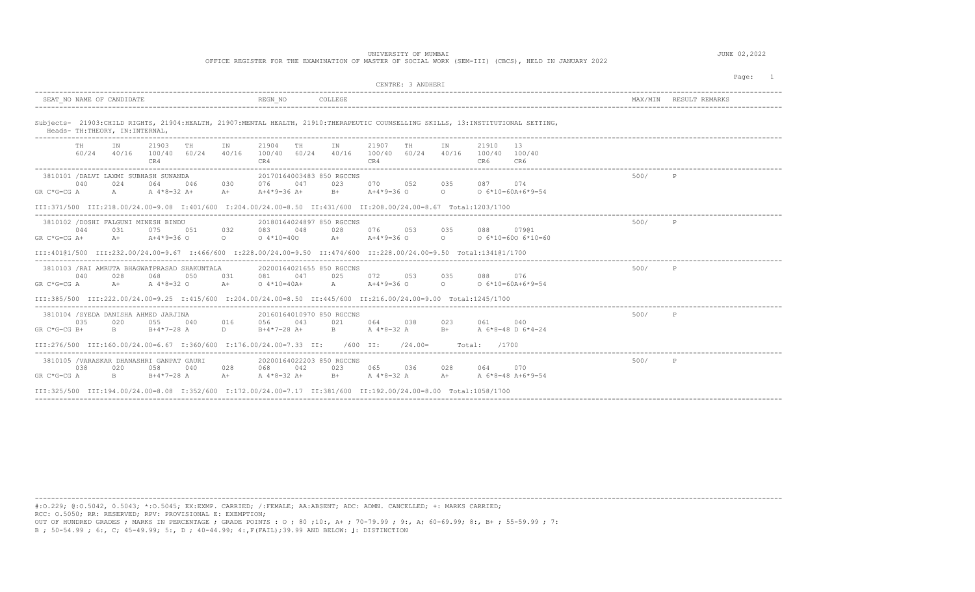## UNIVERSITY OF MUMBAI JUNE 02,2022

OFFICE REGISTER FOR THE EXAMINATION OF MASTER OF SOCIAL WORK (SEM-III) (CBCS), HELD IN JANUARY 2022

|                |             |                                  |                                                                                                                     |      |                          |                                    |     |                                                                                                                                                                                                                                                                                                                                              |                              |           |                       |                        |                                                                                                                                  | MAX/MIN | RESULT REMARKS |
|----------------|-------------|----------------------------------|---------------------------------------------------------------------------------------------------------------------|------|--------------------------|------------------------------------|-----|----------------------------------------------------------------------------------------------------------------------------------------------------------------------------------------------------------------------------------------------------------------------------------------------------------------------------------------------|------------------------------|-----------|-----------------------|------------------------|----------------------------------------------------------------------------------------------------------------------------------|---------|----------------|
|                |             | SEAT NO NAME OF CANDIDATE        |                                                                                                                     |      |                          | REGN NO                            |     | COLLEGE                                                                                                                                                                                                                                                                                                                                      |                              |           |                       |                        |                                                                                                                                  |         |                |
|                |             | Heads- TH: THEORY, IN: INTERNAL, |                                                                                                                     |      |                          |                                    |     |                                                                                                                                                                                                                                                                                                                                              |                              |           |                       |                        | Subjects- 21903:CHILD RIGHTS, 21904:HEALTH, 21907:MENTAL HEALTH, 21910:THERAPEUTIC COUNSELLING SKILLS, 13:INSTITUTIONAL SETTING, |         |                |
|                | TH<br>60/24 | ΙN<br>40/16                      | 21903<br>100/40 60/24<br>CR4                                                                                        | TH   | IN<br>40/16              | 21904<br>100/40 60/24<br>CR4       | TH  | IN<br>40/16                                                                                                                                                                                                                                                                                                                                  | 21907<br>100/40 60/24<br>CR4 | TН        | IN<br>40/16           | 21910<br>100/40<br>CR6 | -13<br>100/40<br>CR6                                                                                                             |         |                |
|                |             |                                  | 3810101 / DALVI LAXMI SUBHASH SUNANDA                                                                               |      |                          |                                    |     | 20170164003483 850 RGCCNS                                                                                                                                                                                                                                                                                                                    |                              |           |                       |                        |                                                                                                                                  | 500/    | P              |
| $GR C*G=CG A$  | 040         | 024<br>$A \sim$                  | 064<br>A $4*8=32$ A+                                                                                                | 046  | 030<br>$A+$              | 076<br>A+4*9=36 A+                 | 047 | 023<br>$B+$                                                                                                                                                                                                                                                                                                                                  | 070 052<br>A+4*9=36 O        |           | 035<br>$\overline{a}$ |                        | 074<br>$0.6*10=60A+6*9=54$                                                                                                       |         |                |
|                |             |                                  | III:371/500 III:218.00/24.00=9.08 I:401/600 I:204.00/24.00=8.50 II:431/600 II:208.00/24.00=8.67 Total:1203/1700     |      |                          |                                    |     |                                                                                                                                                                                                                                                                                                                                              |                              |           |                       |                        |                                                                                                                                  |         |                |
|                |             |                                  | 3810102 / DOSHI FALGUNI MINESH BINDU                                                                                |      |                          |                                    |     | 20180164024897 850 RGCCNS                                                                                                                                                                                                                                                                                                                    |                              |           |                       |                        |                                                                                                                                  | 500/    |                |
| $GR C*G=CG A+$ | 044         | 031<br>$A +$                     | 075<br>$A+4*9=36$ O                                                                                                 | 051  | 032<br>$\Omega$          | 083<br>$0.4*10=400$                | 048 | 028<br>$A +$                                                                                                                                                                                                                                                                                                                                 | 076<br>$A+4*9=36$ O          | 053       | 035<br>$\Omega$       | 088                    | 07901<br>$0.6*10=600.6*10=60$                                                                                                    |         |                |
|                |             |                                  | III:40101/500 III:232.00/24.00=9.67 I:466/600 I:228.00/24.00=9.50 II:474/600 II:228.00/24.00=9.50 Total:134101/1700 |      |                          |                                    |     |                                                                                                                                                                                                                                                                                                                                              |                              |           |                       |                        |                                                                                                                                  |         |                |
|                |             |                                  | 3810103 /RAI AMRUTA BHAGWATPRASAD SHAKUNTALA                                                                        |      |                          |                                    |     | 20200164021655 850 RGCCNS                                                                                                                                                                                                                                                                                                                    |                              |           |                       |                        |                                                                                                                                  | 500/    | P              |
| $GR C*G=CG A$  | 040         | 028<br>$A+$                      | 068<br>A 4*8=32 O                                                                                                   | 0.50 | 0.31<br>$A+$             | 081<br>$0.4*10=40A+$               | 047 | 025                                                                                                                                                                                                                                                                                                                                          | 072<br>A $A+4*9=36$ O        | 0.53      | 0.35<br>$\circ$       | 088                    | 076<br>$0 6*10=60A+6*9=54$                                                                                                       |         |                |
|                |             |                                  | III:385/500 III:222.00/24.00=9.25 I:415/600 I:204.00/24.00=8.50 II:445/600 II:216.00/24.00=9.00 Total:1245/1700     |      |                          | ---------------------------------- |     |                                                                                                                                                                                                                                                                                                                                              |                              |           |                       |                        |                                                                                                                                  |         |                |
|                |             |                                  | 3810104 /SYEDA DANISHA AHMED JARJINA                                                                                |      |                          |                                    |     | 20160164010970 850 RGCCNS                                                                                                                                                                                                                                                                                                                    |                              |           |                       |                        |                                                                                                                                  | 500/    | P              |
| $GR C*G=CG B+$ | 035         | 020<br>$\mathbf{B}$              | 055<br>$B+4*7=28$ A                                                                                                 | 040  | 016<br>$D \qquad \qquad$ | 056<br>$B+4*7=28$ A+               | 043 | 021 - 102<br>$\mathbb B$ and $\mathbb B$ and $\mathbb B$ and $\mathbb B$ and $\mathbb B$ and $\mathbb B$ and $\mathbb B$ and $\mathbb B$ and $\mathbb B$ and $\mathbb B$ and $\mathbb B$ and $\mathbb B$ and $\mathbb B$ and $\mathbb B$ and $\mathbb B$ and $\mathbb B$ and $\mathbb B$ and $\mathbb B$ and $\mathbb B$ and $\mathbb B$ and | 064<br>A $4*8=32$ A          | 038       | 023<br>$B +$          | 061                    | 040<br>A 6*8=48 D 6*4=24                                                                                                         |         |                |
|                |             |                                  | TTT:276/500 TTT:160.00/24.00=6.67 T:360/600 T:176.00/24.00=7.33 TT: /600 TT:                                        |      |                          |                                    |     |                                                                                                                                                                                                                                                                                                                                              |                              | $/24.00=$ |                       | /1700<br>Total:        |                                                                                                                                  |         |                |
|                |             |                                  | 3810105 /VARASKAR DHANASHRI GANPAT GAURI                                                                            |      |                          |                                    |     | 20200164022203 850 RGCCNS                                                                                                                                                                                                                                                                                                                    |                              |           |                       |                        |                                                                                                                                  | 500/    | P              |
| $GR C*G=CG A$  | 038         | 020<br>$B = 1$                   | 058<br>$B+4*7=28$ A                                                                                                 | 040  | 028<br>$A +$             | 068<br>A 4*8=32 A+                 | 042 | 023<br>$B+$                                                                                                                                                                                                                                                                                                                                  | 065<br>A 4*8=32 A            | 036       | 028<br>$A +$          | 064                    | 070<br>A 6*8=48 A+6*9=54                                                                                                         |         |                |
|                |             |                                  | TIT:194.00/24.00=8.08 T:352/600 T:172.00/24.00=7.17 TT:381/600 TT:192.00/24.00=8.00 Total:1058/1700                 |      |                          |                                    |     |                                                                                                                                                                                                                                                                                                                                              |                              |           |                       |                        |                                                                                                                                  |         |                |

---------------------------------------------------------------------------------------------------------------------------------------------------------------------------------------- #:O.229; @:O.5042, 0.5043; \*:O.5045; EX:EXMP. CARRIED; /:FEMALE; AA:ABSENT; ADC: ADMN. CANCELLED; +: MARKS CARRIED; RCC: O.5050; RR: RESERVED; RPV: PROVISIONAL E: EXEMPTION;

OUT OF HUNDRED GRADES ; MARKS IN PERCENTAGE ; GRADE POINTS : O ; 80 ;10:, A+ ; 70-79.99 ; 9:, A; 60-69.99; 8:, B+ ; 55-59.99 ; 7: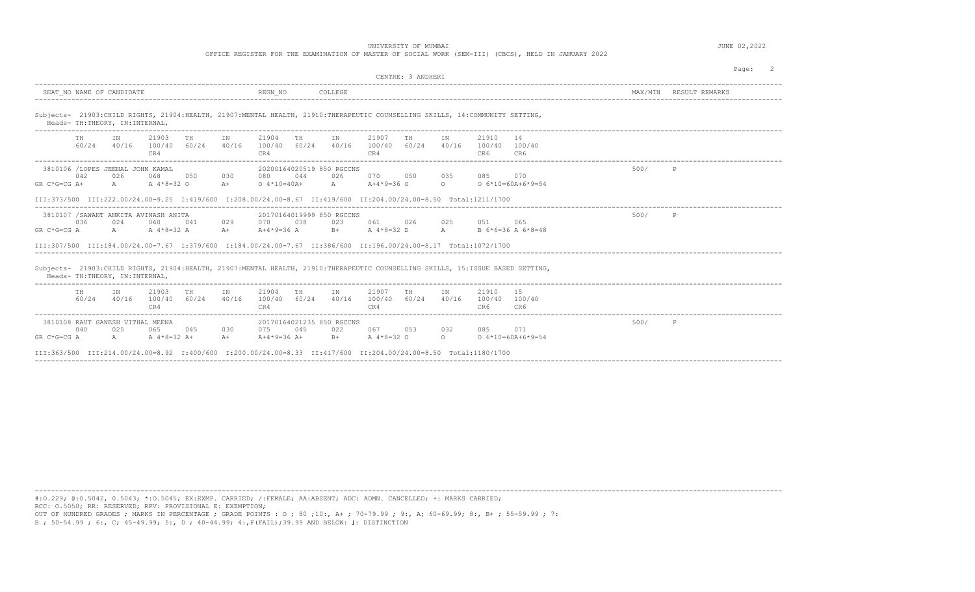OFFICE REGISTER FOR THE EXAMINATION OF MASTER OF SOCIAL WORK (SEM-III) (CBCS), HELD IN JANUARY 2022

|                                                                                                                                   | CENTRE: 3 ANDHERI                                                                                                                                                                                                                                                                     |         | Page:          |
|-----------------------------------------------------------------------------------------------------------------------------------|---------------------------------------------------------------------------------------------------------------------------------------------------------------------------------------------------------------------------------------------------------------------------------------|---------|----------------|
| SEAT NO NAME OF CANDIDATE                                                                                                         | REGN NO<br>COLLEGE                                                                                                                                                                                                                                                                    | MAX/MTN | RESULT REMARKS |
| Heads- TH: THEORY, IN: INTERNAL,                                                                                                  | Subjects- 21903: CHILD RIGHTS, 21904: HEALTH, 21907: MENTAL HEALTH, 21910: THERAPEUTIC COUNSELLING SKILLS, 14: COMMUNITY SETTING,                                                                                                                                                     |         |                |
| 21903<br>TH.<br>TN<br>TH<br>IN<br>60/24<br>40/16<br>60/24<br>40/16<br>100/40<br>CR4                                               | 21907<br>21910<br>21904<br>TN<br>14<br>TH<br>TH<br>TN<br>60/24<br>40/16<br>60/24<br>40/16<br>100/40<br>100/40<br>100/40<br>100/40<br>CR4<br>CR4<br>CR6<br>CR6                                                                                                                         |         |                |
| 3810106 /LOPES JEENAL JOHN KAMAL<br>042<br>068<br>026<br>050<br>030<br>$GR C*G=CG A+$<br>$A \sim$<br>A 4*8=32 O<br>$A +$          | 20200164020519 850 RGCCNS<br>044<br>026<br>080<br>070<br>050<br>035<br>070<br>085<br>$0.4*10=40A+$<br>$A$ $\sim$<br>$A+4*9=36$ O<br>$\circ$<br>$0.6*10=60A+6*9=54$<br>III:373/500 III:222.00/24.00=9.25 I:419/600 I:208.00/24.00=8.67 II:419/600 II:204.00/24.00=8.50 Total:1211/1700 | 500/    | P              |
| 3810107 / SAWANT ANKITA AVINASH ANITA<br>036<br>024<br>060<br>029<br>041<br>$GR C*G=CG A$<br>$A$ and $A$<br>A $4*8=32$ A<br>$A +$ | 20170164019999 850 RGCCNS<br>038<br>023<br>061<br>026<br>025<br>065<br>070<br>0.51<br>A $4*8=32$ D<br>A<br>$A+4*9=36$ A<br>$B +$<br>B $6*6=36$ A $6*8=48$<br>III:307/500 III:184.00/24.00=7.67 I:379/600 I:184.00/24.00=7.67 II:386/600 II:196.00/24.00=8.17 Total:1072/1700          | 500/    | P              |
| Heads- TH: THEORY, IN: INTERNAL,<br>_________________________________                                                             | Subjects- 21903:CHILD RIGHTS, 21904:HEALTH, 21907:MENTAL HEALTH, 21910:THERAPEUTIC COUNSELLING SKILLS, 15:ISSUE BASED SETTING,                                                                                                                                                        |         |                |
| 21903<br>TН<br>TH<br>IN<br>IN<br>40/16<br>60/24<br>40/16<br>60/24<br>100/40<br>CR4                                                | 21904<br>21907<br>21910<br>-1.5<br>TH<br>IN<br>TH<br>TN<br>100/40<br>60/24<br>60/24<br>40/16<br>100/40<br>40/16<br>100/40<br>100/40<br>CR4<br>CR4<br>CR6<br>CR6                                                                                                                       |         |                |
| 3810108 RAUT GANESH VITHAL MEENA<br>040<br>025<br>065<br>045<br>030<br>GR C*G=CG A<br>A $4*8=32$ A+<br>A<br>$A +$                 | 20170164021235 850 RGCCNS<br>075<br>045<br>022<br>067<br>032<br>071<br>053<br>085<br>$A+4*9=36 A+$<br>A 4*8=32 O<br>$\circ$<br>$06*10=60A+6*9=54$<br>$B+$<br>III:363/500 III:214.00/24.00=8.92 I:400/600 I:200.00/24.00=8.33 II:417/600 II:204.00/24.00=8.50 Total:1180/1700          | 500/    | P              |

----------------------------------------------------------------------------------------------------------------------------------------------------------------------------------------

#:O.229; @:O.5042, 0.5043; \*:O.5045; EX:EXMP. CARRIED; /:FEMALE; AA:ABSENT; ADC: ADMN. CANCELLED; +: MARKS CARRIED; RCC: O.5050; RR: RESERVED; RPV: PROVISIONAL E: EXEMPTION;

OUT OF HUNDRED GRADES ; MARKS IN PERCENTAGE ; GRADE POINTS : O ; 80 ;10:, A+ ; 70-79.99 ; 9:, A; 60-69.99; 8:, B+ ; 55-59.99 ; 7: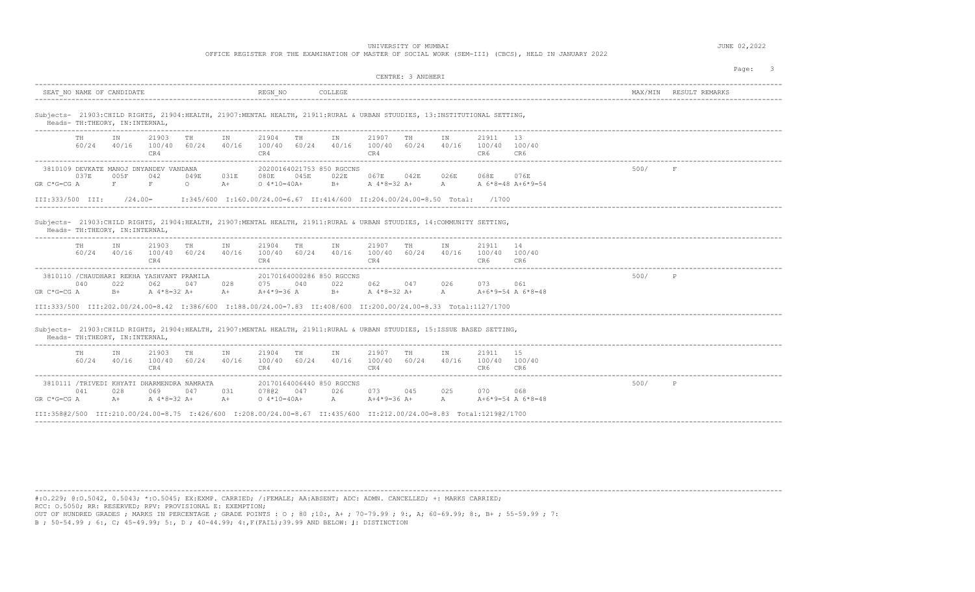OFFICE REGISTER FOR THE EXAMINATION OF MASTER OF SOCIAL WORK (SEM-III) (CBCS), HELD IN JANUARY 2022

| CENTRE: 3 ANDHERI                                                                                                                                                                                                                                                                                                                                                                                          |      | Page:<br>$\overline{\phantom{a}}$ |
|------------------------------------------------------------------------------------------------------------------------------------------------------------------------------------------------------------------------------------------------------------------------------------------------------------------------------------------------------------------------------------------------------------|------|-----------------------------------|
| REGN NO<br>COLLEGE<br>SEAT NO NAME OF CANDIDATE                                                                                                                                                                                                                                                                                                                                                            |      | MAX/MIN RESULT REMARKS            |
| Subjects- 21903:CHILD RIGHTS, 21904:HEALTH, 21907:MENTAL HEALTH, 21911:RURAL & URBAN STUUDIES, 13:INSTITUTIONAL SETTING,<br>Heads- TH: THEORY, IN: INTERNAL,                                                                                                                                                                                                                                               |      |                                   |
| TH<br>IN<br>21903<br>TH<br>IN<br>21904<br>TH<br>IN<br>21907<br>TH<br>IN<br>21911<br>-13<br>60/24 40/16 100/40 60/24<br>40/16<br>100/40 60/24<br>40/16<br>100/40 60/24<br>40/16<br>100/40 100/40<br>CR4<br>CR4<br>CR4<br>CR6<br>CR6                                                                                                                                                                         |      |                                   |
| 20200164021753 850 RGCCNS<br>3810109 DEVKATE MANOJ DNYANDEV VANDANA<br>0.37E<br>005F<br>042<br>049E<br>031E<br>080E<br>045E<br>067E<br>042E<br>026E<br>068E<br>076E<br>022E<br>F<br>$GR C*G=CG A$<br>F<br>$A+$<br>$0.4*10=40A+$<br>$B+$<br>A 4*8=32 A+<br>A<br>A 6*8=48 A+6*9=54<br>$\circ$<br>I:345/600 I:160.00/24.00=6.67 II:414/600 II:204.00/24.00=8.50 Total: /1700<br>III:333/500 III:<br>$/24.00=$ | 500/ | F                                 |
| Subjects- 21903: CHILD RIGHTS, 21904: HEALTH, 21907: MENTAL HEALTH, 21911: RURAL & URBAN STUUDIES, 14: COMMUNITY SETTING,<br>Heads- TH:THEORY, IN:INTERNAL,                                                                                                                                                                                                                                                |      |                                   |
| 21903<br>21907<br>14<br>TH<br>ΙN<br>TH<br>IN<br>21904<br>TH<br>IN<br>TН<br>IN<br>21911<br>$60/24$ $40/16$ $100/40$ $60/24$ $40/16$ $100/40$ $60/24$ $40/16$<br>100/40 60/24 40/16<br>100/40 100/40<br>CR4<br>CR4<br>CR4<br>CR6<br>CR6                                                                                                                                                                      |      |                                   |
| 3810110 / CHAUDHARI REKHA YASHVANT PRAMILA<br>20170164000286 850 RGCCNS<br>028<br>075<br>040<br>040<br>022<br>062<br>047<br>022<br>062<br>047<br>026<br>073<br>061<br>A 4*8=32 A+<br>A $4*8=32$ A+<br>GR C*G=CG A<br>$B+$<br>$A+$<br>A+4*9=36 A<br>$B+$<br>A<br>A+6*9=54 A 6*8=48                                                                                                                          | 500/ | P                                 |
| III:333/500 III:202.00/24.00=8.42 I:386/600 I:188.00/24.00=7.83 II:408/600 II:200.00/24.00=8.33 Total:1127/1700                                                                                                                                                                                                                                                                                            |      |                                   |
| Subjects- 21903: CHILD RIGHTS, 21904: HEALTH, 21907: MENTAL HEALTH, 21911: RURAL & URBAN STUUDIES, 15:ISSUE BASED SETTING,<br>Heads- TH: THEORY, IN: INTERNAL,                                                                                                                                                                                                                                             |      |                                   |
| 21903<br>21904<br>21907<br>15<br>TH<br>ΙN<br>TH<br>IN<br>TH<br>IN<br>TН<br>IN<br>21911<br>60/24 40/16<br>100/40 60/24 40/16<br>100/40 60/24 40/16<br>100/40 60/24 40/16<br>100/40 100/40<br>CR4<br>CR4<br>CR4<br>CR6<br>CR6                                                                                                                                                                                |      |                                   |
| 3810111 /TRIVEDI KHYATI DHARMENDRA NAMRATA<br>20170164006440 850 RGCCNS<br>041<br>069<br>047<br>07802<br>047<br>026<br>073<br>045<br>025<br>028<br>031<br>070<br>068<br>A 4*8=32 A+<br>A $A+4*9=36 A+$<br>A+6*9=54 A 6*8=48<br>GR C*G=CG A<br>$A+$<br>$A+$<br>$0.4*10=40A+$<br>A                                                                                                                           | 500/ | P                                 |
| III:35802/500 III:210.00/24.00=8.75 I:426/600 I:208.00/24.00=8.67 II:435/600 II:212.00/24.00=8.83 Total:121902/1700                                                                                                                                                                                                                                                                                        |      |                                   |

----------------------------------------------------------------------------------------------------------------------------------------------------------------------------------------

#:O.229; @:O.5042, 0.5043; \*:O.5045; EX:EXMP. CARRIED; /:FEMALE; AA:ABSENT; ADC: ADMN. CANCELLED; +: MARKS CARRIED; RCC: O.5050; RR: RESERVED; RPV: PROVISIONAL E: EXEMPTION;

OUT OF HUNDRED GRADES ; MARKS IN PERCENTAGE ; GRADE POINTS : O ; 80 ;10:, A+ ; 70-79.99 ; 9:, A; 60-69.99; 8:, B+ ; 55-59.99 ; 7: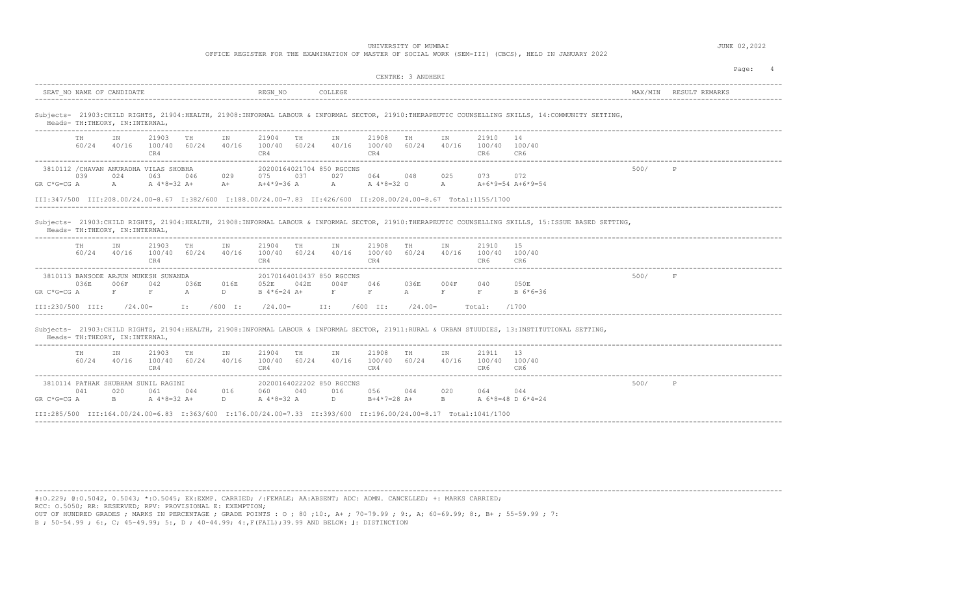OFFICE REGISTER FOR THE EXAMINATION OF MASTER OF SOCIAL WORK (SEM-III) (CBCS), HELD IN JANUARY 2022

| SEAT NO NAME OF CANDIDATE<br>REGN NO<br>COLLEGE<br>MAX/MIN<br>RESULT REMARKS<br>Subjects- 21903:CHILD RIGHTS, 21904:HEALTH, 21908:INFORMAL LABOUR & INFORMAL SECTOR, 21910:THERAPEUTIC COUNSELLING SKILLS, 14:COMMUNITY SETTING,<br>Heads- TH: THEORY, IN: INTERNAL,<br>21903<br>21904<br>21908<br>21910<br>TH<br>TN<br>TH<br>TN<br>TH.<br>T N<br>TН<br>TN<br>14<br>60/24<br>40/16<br>40/16<br>60/24<br>40/16<br>40/16<br>100/40<br>60/24<br>100/40<br>100/40<br>60/24<br>100/40<br>100/40<br>CR4<br>CR4<br>CR6<br>CR4<br>CR6 |  |
|-------------------------------------------------------------------------------------------------------------------------------------------------------------------------------------------------------------------------------------------------------------------------------------------------------------------------------------------------------------------------------------------------------------------------------------------------------------------------------------------------------------------------------|--|
|                                                                                                                                                                                                                                                                                                                                                                                                                                                                                                                               |  |
|                                                                                                                                                                                                                                                                                                                                                                                                                                                                                                                               |  |
|                                                                                                                                                                                                                                                                                                                                                                                                                                                                                                                               |  |
| 3810112 / CHAVAN ANURADHA VILAS SHOBHA<br>500/<br>$\mathbb{P}$<br>20200164021704 850 RGCCNS<br>039<br>024<br>063<br>075<br>037<br>027<br>025<br>073 —<br>072<br>046<br>029<br>064<br>048<br>A<br>A<br>A 4*8=32 A+<br>$A+4*9=36$ A<br>$\mathbb{A}$<br>A 4*8=32 O<br>A+6*9=54 A+6*9=54<br>$GR C*G=CG A$<br>$A+$                                                                                                                                                                                                                 |  |
| III:347/500 III:208.00/24.00=8.67 I:382/600 I:188.00/24.00=7.83 II:426/600 II:208.00/24.00=8.67 Total:1155/1700                                                                                                                                                                                                                                                                                                                                                                                                               |  |
| Heads- TH:THEORY, IN:INTERNAL,<br>21903<br>21910<br>TH<br>21904<br>21908<br>ΙN<br>1.5<br>TH<br>ΙN<br>ΙN<br>TH<br>IN<br>TН<br>60/24<br>40/16<br>100/40<br>60/24<br>40/16<br>60/24<br>40/16<br>60/24<br>40/16<br>100/40 100/40<br>100/40<br>100/40<br>CR4<br>CR4<br>CR6<br>CR4<br>CR6                                                                                                                                                                                                                                           |  |
| 500/<br>$\rm F$<br>3810113 BANSODE ARJUN MUKESH SUNANDA<br>20170164010437 850 RGCCNS<br>036E<br>006F<br>042<br>052E<br>042E<br>004F<br>040<br>050E<br>036E<br>016E<br>046<br>036E<br>004F<br>$F^-$<br>$\mathbf F$<br>$\mathbb{A}$<br>$\rm F$<br>$\rm F$<br>$\mathbf{F}$<br>$\mathbf{F}$<br>GR C*G=CG A<br>D<br>$B$ 4*6=24 A+<br>$\mathbb{A}$<br>$B \ 6*6=36$                                                                                                                                                                  |  |
| III:230/500 III:<br>$/24.00=$<br>I:<br>$/600$ I:<br>$/24.00=$<br>II:<br>$/600$ II:<br>$/24.00=$<br>/1700<br>Total:                                                                                                                                                                                                                                                                                                                                                                                                            |  |
| Subjects- 21903:CHILD RIGHTS, 21904:HEALTH, 21908:INFORMAL LABOUR & INFORMAL SECTOR, 21911:RURAL & URBAN STUUDIES, 13:INSTITUTIONAL SETTING,<br>Heads- TH: THEORY, IN: INTERNAL,                                                                                                                                                                                                                                                                                                                                              |  |
| 13<br>21903<br>TH<br>21904<br>TH<br>IN<br>21908<br>21911<br>TH<br>ΙN<br>IN<br>TH<br>IN<br>60/24<br>40/16<br>40/16<br>40/16<br>100/40<br>60/24<br>40/16<br>100/40 60/24<br>100/40<br>60/24<br>100/40 100/40<br>CR4<br>CR4<br>CR4<br>CR6<br>CR6                                                                                                                                                                                                                                                                                 |  |
| 3810114 PATHAK SHUBHAM SUNIL RAGINI<br>20200164022202 850 RGCCNS<br>500/<br>$\mathbb{P}$<br>020<br>040<br>020<br>041<br>061<br>044<br>016<br>060<br>016<br>056<br>044<br>064 0<br>044<br>B<br>B<br>A 6*8=48 D 6*4=24<br>$GR C*G=CG A$<br>A 4*8=32 A+<br>D<br>A 4*8=32 A<br>$\mathbb{D}$<br>$B+4*7=28$ A+                                                                                                                                                                                                                      |  |
| III:285/500 III:164.00/24.00=6.83 I:363/600 I:176.00/24.00=7.33 II:393/600 II:196.00/24.00=8.17 Total:1041/1700                                                                                                                                                                                                                                                                                                                                                                                                               |  |

----------------------------------------------------------------------------------------------------------------------------------------------------------------------------------------

#:O.229; @:O.5042, 0.5043; \*:O.5045; EX:EXMP. CARRIED; /:FEMALE; AA:ABSENT; ADC: ADMN. CANCELLED; +: MARKS CARRIED; RCC: O.5050; RR: RESERVED; RPV: PROVISIONAL E: EXEMPTION;

OUT OF HUNDRED GRADES ; MARKS IN PERCENTAGE ; GRADE POINTS : O ; 80 ;10:, A+ ; 70-79.99 ; 9:, A; 60-69.99; 8:, B+ ; 55-59.99 ; 7: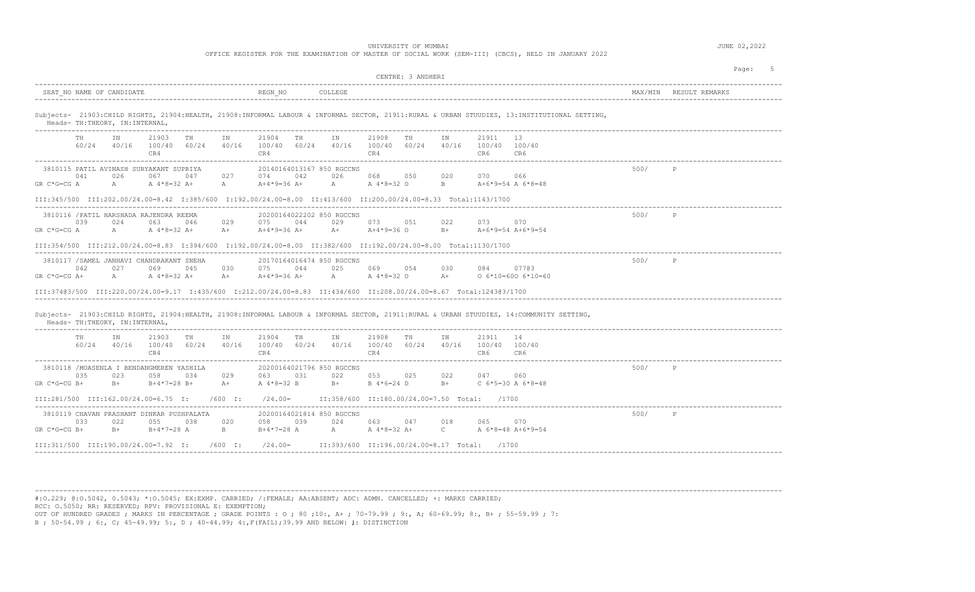OFFICE REGISTER FOR THE EXAMINATION OF MASTER OF SOCIAL WORK (SEM-III) (CBCS), HELD IN JANUARY 2022

|                                                                                                                                                                                                                                                                                                                                               | CENTRE: 3 ANDHERI                                                                      | 5<br>Page:             |
|-----------------------------------------------------------------------------------------------------------------------------------------------------------------------------------------------------------------------------------------------------------------------------------------------------------------------------------------------|----------------------------------------------------------------------------------------|------------------------|
| REGN NO<br>SEAT NO NAME OF CANDIDATE<br>COLLEGE                                                                                                                                                                                                                                                                                               |                                                                                        | MAX/MIN RESULT REMARKS |
| Subjects- 21903:CHILD RIGHTS, 21904:HEALTH, 21908:INFORMAL LABOUR & INFORMAL SECTOR, 21911:RURAL & URBAN STUUDIES, 13:INSTITUTIONAL SETTING,<br>Heads- TH:THEORY, IN:INTERNAL,                                                                                                                                                                |                                                                                        |                        |
| 21903<br>21904<br>IN<br>TH<br>IN<br>TH TH<br>IN<br>TH<br>$60/24$ $40/16$ $100/40$ $60/24$ $40/16$ $100/40$ $60/24$ $40/16$ $100/40$ $60/24$ $40/16$ $100/40$ $100/40$<br>CR4<br>CR4<br>CR4                                                                                                                                                    | 21908 TH<br>21911<br>13<br>IN<br>CR6<br>CR6                                            |                        |
| 3810115 PATIL AVINASH SURYAKANT SUPRIYA<br>20140164013167 850 RGCCNS<br>041<br>026<br>027<br>067<br>047<br>074<br>042<br>026<br>A<br>A<br>GR C*G=CG A<br>A 4*8=32 A+<br>A+4*9=36 A+                                                                                                                                                           | 068 050<br>020<br>070 066<br>A A 4 * 8 = 32 O<br>B<br>A+6*9=54 A 6*8=48                | 500/<br>$\mathbb{P}$   |
| III:345/500 III:202.00/24.00=8.42 I:385/600 I:192.00/24.00=8.00 II:413/600 II:200.00/24.00=8.33 Total:1143/1700                                                                                                                                                                                                                               |                                                                                        |                        |
| 3810116 / PATIL HARSHADA RAJENDRA REEMA<br>20200164022202 850 RGCCNS<br>063 046<br>029<br>075 044<br>039<br>024<br>029 - 102<br>A A 4 * 8 = 32 A +<br>GR C*G=CG A                                                                                                                                                                             | 500/<br>073 051<br>022<br>073 070                                                      | P                      |
| III:354/500 III:212.00/24.00=8.83 I:394/600 I:192.00/24.00=8.00 II:382/600 II:192.00/24.00=8.00 Total:1130/1700                                                                                                                                                                                                                               |                                                                                        |                        |
| 3810117 / SAMEL JANHAVI CHANDRAKANT SNEHA<br>20170164016474 850 RGCCNS<br>042<br>069<br>025<br>027<br>045<br>030<br>075<br>044<br>$GR C*G=CG A+$<br>$A \qquad \qquad$<br>A 4*8=32 A+<br>A+ A+4*9=36 A+ A A 4*8=32 O A+<br>III:37403/500 III:220.00/24.00=9.17 I:435/600 I:212.00/24.00=8.83 II:434/600 II:208.00/24.00=8.67 Total:124303/1700 | 500/<br>069 054<br>030<br>084<br>07703<br>$0.6*10=600.6*10=60$                         | $\mathbb{P}$           |
| Subjects- 21903:CHILD RIGHTS, 21904:HEALTH, 21908:INFORMAL LABOUR & INFORMAL SECTOR, 21911:RURAL & URBAN STUUDIES, 14:COMMUNITY SETTING,<br>Heads- TH: THEORY, IN: INTERNAL,                                                                                                                                                                  |                                                                                        |                        |
| 21903 TH<br>21904 TH<br>IN<br>TH<br>IN<br>IN<br>$60/24$ $40/16$ $100/40$ $60/24$ $40/16$ $100/40$ $60/24$ $40/16$ $100/40$ $60/24$ $40/16$ $100/40$ $100/40$<br>CR4<br>CR4<br>CR4                                                                                                                                                             | 21908 TH<br>21911 14<br>ΙN<br>CR6<br>CR6                                               |                        |
| 3810118 /MOASENLA I BENDANGMEREN YASHILA<br>20200164021796 850 RGCCNS<br>023<br>029<br>035<br>058<br>063<br>031<br>022<br>034<br>$B+4*7=28 B+$<br>GR C*G=CG B+<br>$B+$<br>A 4 * 8 = 32 B B +<br>$A+$                                                                                                                                          | 053 025<br>022<br>047<br>060<br>$B+$<br>B 4*6=24 D<br>C $6*5=30$ A $6*8=48$            | 500/ P                 |
| III:281/500 III:162.00/24.00=6.75 I: /600 I:                                                                                                                                                                                                                                                                                                  | /24.00=  II:358/600 II:180.00/24.00=7.50 Total: /1700                                  |                        |
| 3810119 CHAVAN PRASHANT DINKAR PUSHPALATA<br>20200164021814 850 RGCCNS<br>058 039<br>033<br>022<br>055 038<br>020<br>024<br>GR C*G=CG B+<br>$B+$<br>$B+4*7=28$ A B                                                                                                                                                                            | 500/<br>063 047<br>018<br>065<br>070<br>B+4*7=28 A A A A 4*8=32 A+ C A 6*8=48 A+6*9=54 | P                      |
| III:311/500 III:190.00/24.00=7.92 I: /600 I: /24.00= II:393/600 II:196.00/24.00=8.17 Total: /1700                                                                                                                                                                                                                                             |                                                                                        |                        |

----------------------------------------------------------------------------------------------------------------------------------------------------------------------------------------

#:O.229; @:O.5042, 0.5043; \*:O.5045; EX:EXMP. CARRIED; /:FEMALE; AA:ABSENT; ADC: ADMN. CANCELLED; +: MARKS CARRIED; RCC: O.5050; RR: RESERVED; RPV: PROVISIONAL E: EXEMPTION;

OUT OF HUNDRED GRADES ; MARKS IN PERCENTAGE ; GRADE POINTS : O ; 80 ;10:, A+ ; 70-79.99 ; 9:, A; 60-69.99; 8:, B+ ; 55-59.99 ; 7: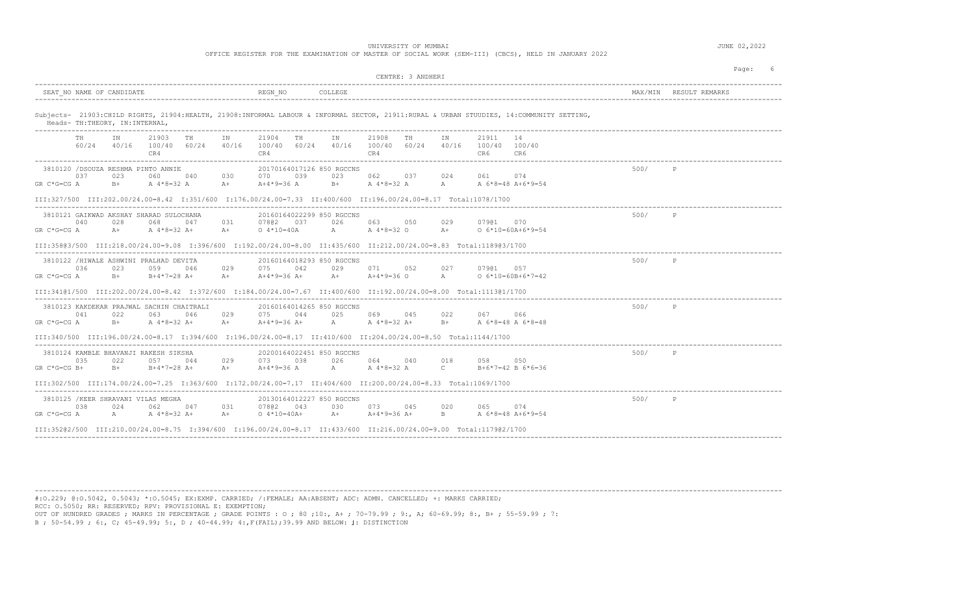OFFICE REGISTER FOR THE EXAMINATION OF MASTER OF SOCIAL WORK (SEM-III) (CBCS), HELD IN JANUARY 2022

| CENTRE: 3 ANDHERI                                                                                                                                                                                                                                                                                                                                                                                         |         | Page:        |
|-----------------------------------------------------------------------------------------------------------------------------------------------------------------------------------------------------------------------------------------------------------------------------------------------------------------------------------------------------------------------------------------------------------|---------|--------------|
| REGN NO<br>SEAT NO NAME OF CANDIDATE<br>COLLEGE                                                                                                                                                                                                                                                                                                                                                           | MAX/MTN |              |
| Subjects- 21903:CHILD RIGHTS, 21904:HEALTH, 21908:INFORMAL LABOUR & INFORMAL SECTOR, 21911:RURAL & URBAN STUUDIES, 14:COMMUNITY SETTING,<br>Heads- TH:THEORY, IN:INTERNAL,                                                                                                                                                                                                                                |         |              |
| TN<br>TN<br>21903<br>TH<br>IN<br>21904<br>TH<br>21908<br>TH<br>TN<br>21911<br>14<br>TH<br>60/24 40/16<br>100/40 60/24 40/16<br>100/40 60/24<br>40/16 100/40 60/24<br>40/16<br>100/40 100/40<br>CR4<br>CR4<br>CR4<br>CR6<br>CR6<br>---------------<br>______________________                                                                                                                               |         |              |
| 3810120 /DSOUZA RESHMA PINTO ANNIE<br>20170164017126 850 RGCCNS<br>037<br>039<br>023<br>062<br>023<br>060<br>040<br>030<br>070<br>037<br>024<br>061<br>074<br>$B+$ $A + 8 = 32$ A<br>$\mathbb{A}$<br>$GR C*G=CG A$<br>$B+$ A $4*8=32$ A<br>$A+$<br>$A+4*9=36$ A<br>A 6*8=48 A+6*9=54                                                                                                                      | 500/    | P            |
| III:327/500 III:202.00/24.00=8.42 I:351/600 I:176.00/24.00=7.33 II:400/600 II:196.00/24.00=8.17 Total:1078/1700                                                                                                                                                                                                                                                                                           |         |              |
| 20160164022299 850 RGCCNS<br>3810121 GAIKWAD AKSHAY SHARAD SULOCHANA<br>028<br>068<br>047<br>031<br>07802 037<br>026<br>063<br>040<br>050<br>029<br>07901<br>0.70<br>A 4*8=32 A+<br>$A$ and $A$<br>A 4*8=32 O<br>GR C*G=CG A<br>$A+$<br>$0.4*10=40A$<br>$A +$<br>$0 6*10=60A+6*9=54$<br>$A+$                                                                                                              | 500/    | P            |
| III:358@3/500 III:218.00/24.00=9.08 I:396/600 I:192.00/24.00=8.00 II:435/600 II:212.00/24.00=8.83 Total:1189@3/1700                                                                                                                                                                                                                                                                                       |         |              |
| 3810122 /HIWALE ASHWINI PRALHAD DEVITA<br>20160164018293 850 RGCCNS<br>036<br>029<br>029<br>071<br>027<br>07901<br>023<br>059<br>046<br>075<br>042<br>052<br>0.57<br>GR C*G=CG A<br>$B+$<br>$B+4*7=28$ A+<br>$A+$<br>$A+4*9=36$ O<br>A<br>$0.6*10=60B+6*7=42$<br>A+ A+4*9=36 A+                                                                                                                           | 500/    | $\mathbb{P}$ |
| III:341@1/500 III:202.00/24.00=8.42 I:372/600 I:184.00/24.00=7.67 II:400/600 II:192.00/24.00=8.00 Total:1113@1/1700                                                                                                                                                                                                                                                                                       |         |              |
| 3810123 KAKDEKAR PRAJWAL SACHIN CHAITRALI<br>20160164014265 850 RGCCNS<br>041<br>022<br>063<br>046<br>029<br>075<br>044<br>025<br>069<br>045<br>022<br>067<br>066<br>$GR C*G=CG A$<br>A 4*8=32 A+<br>$A +$<br>$A+4*9=36$ A+<br>A A 4 * 8 = 32 A +<br>A 6*8=48 A 6*8=48<br>$B+$<br>$B+$<br>III:340/500 III:196.00/24.00=8.17 I:394/600 I:196.00/24.00=8.17 II:410/600 II:204.00/24.00=8.50 Total:1144/1700 | 500/    | $\mathbb{P}$ |
| ----------------------------                                                                                                                                                                                                                                                                                                                                                                              |         |              |
| 3810124 KAMBLE BHAVANJI RAKESH SIKSHA<br>20200164022451 850 RGCCNS<br>026<br>035<br>022<br>057<br>029<br>038<br>064<br>040<br>018<br>0.58<br>044<br>073<br>050<br>$A$ and $A$<br>$A^4*8=32 A$ C<br>$B+$<br>$A+$ $A+4*9=36$ $A$<br>$GR C*G=CG B+$<br>$B+4*7=28$ A+<br>B+6*7=42 B 6*6=36                                                                                                                    | 500/    | P            |
| III:302/500 III:174.00/24.00=7.25 I:363/600 I:172.00/24.00=7.17 II:404/600 II:200.00/24.00=8.33 Total:1069/1700                                                                                                                                                                                                                                                                                           |         |              |
| 3810125 / KEER SHRAVANI VILAS MEGHA<br>20130164012227 850 RGCCNS<br>038<br>062<br>047<br>031<br>07802 043<br>030 030<br>073<br>020<br>074<br>024<br>045<br>065<br>$A+$ $A+4*9=36$ $A+$<br>$GR C*G=CG A$<br>A A 4 * 8 = 32 A +<br>$0.4*10=40A+$<br>$\overline{B}$<br>A 6*8=48 A+6*9=54<br>$A+$                                                                                                             | 500/    | P            |
| III:35202/500 III:210.00/24.00=8.75 I:394/600 I:196.00/24.00=8.17 II:433/600 II:216.00/24.00=9.00 Total:117902/1700                                                                                                                                                                                                                                                                                       |         |              |

---------------------------------------------------------------------------------------------------------------------------------------------------------------------------------------- #:O.229; @:O.5042, 0.5043; \*:O.5045; EX:EXMP. CARRIED; /:FEMALE; AA:ABSENT; ADC: ADMN. CANCELLED; +: MARKS CARRIED; RCC: O.5050; RR: RESERVED; RPV: PROVISIONAL E: EXEMPTION;

OUT OF HUNDRED GRADES ; MARKS IN PERCENTAGE ; GRADE POINTS : O ; 80 ;10:, A+ ; 70-79.99 ; 9:, A; 60-69.99; 8:, B+ ; 55-59.99 ; 7: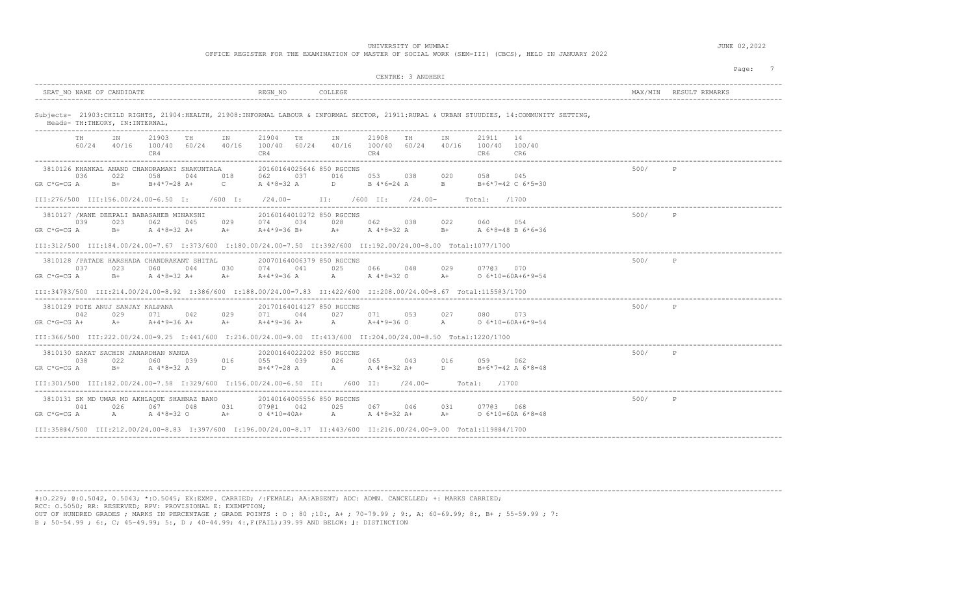UNIVERSITY OF MUMBAI **DEALLY SERVICE SERVICE SERVICE SERVICE SERVICE SERVICE SERVICE SERVICE SERVICE SERVICE SERVICE SERVICE SERVICE SERVICE SERVICE SERVICE SERVICE SERVICE SERVICE SERVICE SERVICE SERVICE SERVICE SERVICE S** 

| OFFICE REGISTER FOR THE EXAMINATION OF MASTER OF SOCIAL WORK (SEM-III) (CBCS), HELD IN JANUARY 2022 |  |
|-----------------------------------------------------------------------------------------------------|--|
|-----------------------------------------------------------------------------------------------------|--|

|                                                                                                                                                  | CENTRE: 3 ANDHERI                                                                                                                                                                                                                                                        |      |                        |
|--------------------------------------------------------------------------------------------------------------------------------------------------|--------------------------------------------------------------------------------------------------------------------------------------------------------------------------------------------------------------------------------------------------------------------------|------|------------------------|
| SEAT NO NAME OF CANDIDATE                                                                                                                        | REGN NO<br>COLLEGE                                                                                                                                                                                                                                                       |      | MAX/MIN RESULT REMARKS |
| Heads- TH: THEORY, IN: INTERNAL,                                                                                                                 | Subjects- 21903:CHILD RIGHTS, 21904:HEALTH, 21908:INFORMAL LABOUR & INFORMAL SECTOR, 21911:RURAL & URBAN STUUDIES, 14:COMMUNITY SETTING,                                                                                                                                 |      |                        |
| TH<br>21903<br>ΙN<br>TH<br>IN<br>$60/24$ $40/16$ $100/40$ $60/24$ $40/16$<br>CR4                                                                 | 21904<br>TH<br>IN<br>21908<br>TH<br>21911<br>ΙN<br>14<br>100/40 60/24 40/16 100/40 60/24<br>40/16<br>100/40 100/40<br>CR4<br>CR4<br>CR6<br>CR6                                                                                                                           |      |                        |
| 3810126 KHANKAL ANAND CHANDRAMANI SHAKUNTALA<br>036<br>022<br>058<br>018<br>044<br>$GR C*G=CG A$<br>$\sim$ $\sim$ $\sim$<br>$B+$ $B+4*7=28$ $A+$ | 20160164025646 850 RGCCNS<br>062 06<br>037<br>016<br>053 038<br>020<br>058<br>045<br>$\Box$<br>A 4*8=32 A<br>B 4*6=24 A<br>$\mathbf{B}$ and $\mathbf{B}$<br>B+6*7=42 C 6*5=30                                                                                            | 500/ | P                      |
| III:276/500 III:156.00/24.00=6.50 I: /600 I:                                                                                                     | $\sqrt{24.00}$ II: $\sqrt{600}$ II: $\sqrt{24.00}$<br>Total:<br>/1700                                                                                                                                                                                                    |      |                        |
| 3810127 / MANE DEEPALI BABASAHEB MINAKSHI<br>039<br>023<br>029<br>062<br>045<br>GR C*G=CG A<br>$B+$<br>A 4*8=32 A+<br>$A+$                       | 20160164010272 850 RGCCNS<br>034<br>028<br>062 038<br>022<br>060<br>054<br>074<br>A+4*9=36 B+<br>A+ A 4 * 8 = 32 A B+<br>A 6*8=48 B 6*6=36                                                                                                                               | 500/ | P                      |
|                                                                                                                                                  | III:312/500 III:184.00/24.00=7.67 I:373/600 I:180.00/24.00=7.50 II:392/600 II:192.00/24.00=8.00 Total:1077/1700                                                                                                                                                          |      |                        |
| 3810128 / PATADE HARSHADA CHANDRAKANT SHITAL<br>037<br>023<br>060<br>044<br>030<br>$GR C*G=CG A$<br>$B+$ $A + 8 = 32A+$                          | 20070164006379 850 RGCCNS<br>074 041<br>025<br>07703 070<br>066 048<br>029<br>$A+$ $A+4*9=36$ $A$ $A$ $A*8=32$ O<br>$A+$<br>$0.6*10=60A+6*9=54$                                                                                                                          | 500/ | P                      |
|                                                                                                                                                  | III:34703/500 III:214.00/24.00=8.92 I:386/600 I:188.00/24.00=7.83 II:422/600 II:208.00/24.00=8.67 Total:115503/1700                                                                                                                                                      |      |                        |
| 3810129 POTE ANUJ SANJAY KALPANA<br>042<br>029<br>071 042<br>029<br>A+ $A+4*9=36 A+$<br>$GR C*G=CG A+$                                           | 20170164014127 850 RGCCNS<br>044<br>027<br>071 053<br>027<br>071<br>080<br>073<br>$A = A + 4*9 = 360$ A<br>$A + A + 9 = 36A +$<br>$0 6*10=60A+6*9=54$<br>III:366/500 III:222.00/24.00=9.25 I:441/600 I:216.00/24.00=9.00 II:413/600 II:204.00/24.00=8.50 Total:1220/1700 | 500/ | P                      |
| 3810130 SAKAT SACHIN JANARDHAN NANDA<br>038<br>022<br>060<br>039<br>016<br>GR C*G=CG A                                                           | 20200164022202 850 RGCCNS<br>055 039<br>026<br>065<br>043<br>016<br>059<br>062<br>B+ $A^4*8=32$ A D $B+4*7=28$ A A $A^4*8=32$ A D<br>$B+6*7=42$ A $6*8=48$                                                                                                               | 500/ | P                      |
| III:301/500 III:182.00/24.00=7.58 I:329/600 I:156.00/24.00=6.50 II: /600 II:                                                                     | $(24.00=$<br>Total: /1700                                                                                                                                                                                                                                                |      |                        |
| 3810131 SK MD UMAR MD AKHLAQUE SHAHNAZ BANO<br>026<br>067<br>031<br>041<br>048<br>$GR C*G=CG A$<br>$A \sim$<br>A 4*8=32 O<br>$A+$                | 20140164005556 850 RGCCNS<br>07901 042<br>025<br>067<br>07703 068<br>046<br>031<br>A A 4 * 8 = 32 A +<br>$0.4*10=40A+$<br>$A+$<br>$0 6*10=60A 6*8=48$                                                                                                                    | 500/ | $\mathbb{P}$           |
|                                                                                                                                                  | III:35804/500 III:212.00/24.00=8.83 I:397/600 I:196.00/24.00=8.17 II:443/600 II:216.00/24.00=9.00 Total:119804/1700                                                                                                                                                      |      |                        |

---------------------------------------------------------------------------------------------------------------------------------------------------------------------------------------- #:O.229; @:O.5042, 0.5043; \*:O.5045; EX:EXMP. CARRIED; /:FEMALE; AA:ABSENT; ADC: ADMN. CANCELLED; +: MARKS CARRIED; RCC: O.5050; RR: RESERVED; RPV: PROVISIONAL E: EXEMPTION;

OUT OF HUNDRED GRADES ; MARKS IN PERCENTAGE ; GRADE POINTS : O ; 80 ;10:, A+ ; 70-79.99 ; 9:, A; 60-69.99; 8:, B+ ; 55-59.99 ; 7: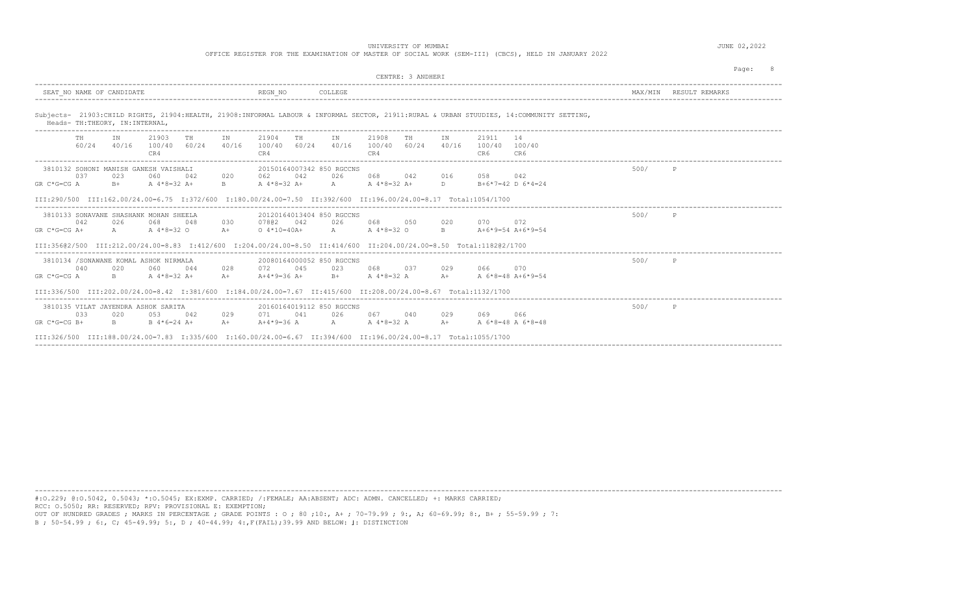OFFICE REGISTER FOR THE EXAMINATION OF MASTER OF SOCIAL WORK (SEM-III) (CBCS), HELD IN JANUARY 2022

|                                                                                                                                                                                                                    |                                                            |                                                                     | CENTRE: 3 ANDHERT    |                                               |         | Page:          |
|--------------------------------------------------------------------------------------------------------------------------------------------------------------------------------------------------------------------|------------------------------------------------------------|---------------------------------------------------------------------|----------------------|-----------------------------------------------|---------|----------------|
| SEAT NO NAME OF CANDIDATE                                                                                                                                                                                          | REGN NO                                                    | COLLEGE                                                             |                      |                                               | MAX/MTN | RESULT REMARKS |
| Subjects- 21903:CHILD RIGHTS, 21904:HEALTH, 21908:INFORMAL LABOUR & INFORMAL SECTOR, 21911:RURAL & URBAN STUUDIES, 14:COMMUNITY SETTING,<br>Heads- TH: THEORY, IN: INTERNAL,<br>---------------------------------- |                                                            |                                                                     |                      |                                               |         |                |
| 21903<br>ΙN<br>TH<br>60/24<br>100/40 60/24<br>40/16<br>CR4                                                                                                                                                         | TH<br>IN<br>21904<br>TH<br>40/16<br>100/40<br>60/24<br>CR4 | 21908<br>IN<br>40/16 100/40 60/24<br>CR4                            | TH<br>TN<br>40/16    | 21911<br>14<br>100/40<br>100/40<br>CR6<br>CR6 |         |                |
| 3810132 SOHONI MANISH GANESH VAISHALI<br>037<br>023<br>060<br>042<br>B+ A 4*8=32 A+<br>$GR C*G=CG A$                                                                                                               | 062 042<br>020<br>$B = 1$<br>A 4*8=32 A+                   | 20150164007342 850 RGCCNS<br>068<br>026<br>A A 4 * 8 = 32 A +       | 042<br>016<br>D      | 058<br>042<br>$B+6*7=42$ D $6*4=24$           | 500/    | P              |
| III:290/500 III:162.00/24.00=6.75 I:372/600 I:180.00/24.00=7.50 II:392/600 II:196.00/24.00=8.17 Total:1054/1700                                                                                                    |                                                            |                                                                     |                      |                                               |         |                |
| 3810133 SONAVANE SHASHANK MOHAN SHEELA<br>042<br>026<br>068<br>048<br>$A \sim$<br>A $4*8=32$ O<br>$GR C*G=CG A+$                                                                                                   | 030<br>07802 042<br>$A +$<br>$0.4*10=40A+$                 | 20120164013404 850 RGCCNS<br>068<br>026<br>A<br>A 4*8=32 O          | 050<br>020<br>R      | 072<br>070<br>A+6*9=54 A+6*9=54               | 500/    | $\mathbb{P}$   |
| III:35602/500 III:212.00/24.00=8.83 I:412/600 I:204.00/24.00=8.50 II:414/600 II:204.00/24.00=8.50 Total:118202/1700                                                                                                |                                                            |                                                                     |                      |                                               |         |                |
| 3810134 /SONAWANE KOMAL ASHOK NIRMALA<br>040<br>020<br>060<br>044<br>$B = 1$<br>$GR C*G=CG A$<br>A $4*8=32$ A+                                                                                                     | 072 045<br>028<br>$A +$<br>$A+4*9=36$ A+                   | 20080164000052 850 RGCCNS<br>068<br>023<br>$A = 4*8 = 32$ A<br>$B+$ | 0.37<br>029<br>$A +$ | 066<br>070<br>A 6*8=48 A+6*9=54               | 500/    | $\mathsf{P}$   |
| TTT:336/500 TTT:202.00/24.00=8.42 T:381/600 T:184.00/24.00=7.67 TT:415/600 TT:208.00/24.00=8.67 Total:1132/1700                                                                                                    |                                                            |                                                                     |                      |                                               |         |                |
| 3810135 VILAT JAYENDRA ASHOK SARITA<br>033<br>042<br>020<br>053<br>$B = 1$<br>$B \ 4*6=24 \ A+$<br>$GR C*G=CG B+$                                                                                                  | 041<br>029<br>071<br>$A+4*9=36$ A<br>$A +$                 | 20160164019112 850 RGCCNS<br>067<br>026 7<br>A A 4 * 8 = 32 A       | 029<br>040<br>$A +$  | 069<br>066<br>A 6*8=48 A 6*8=48               | 500/    | P              |
| III:326/500 III:188.00/24.00=7.83 I:335/600 I:160.00/24.00=6.67 II:394/600 II:196.00/24.00=8.17 Total:1055/1700                                                                                                    |                                                            |                                                                     |                      |                                               |         |                |

----------------------------------------------------------------------------------------------------------------------------------------------------------------------------------------

#:O.229; @:O.5042, 0.5043; \*:O.5045; EX:EXMP. CARRIED; /:FEMALE; AA:ABSENT; ADC: ADMN. CANCELLED; +: MARKS CARRIED; RCC: O.5050; RR: RESERVED; RPV: PROVISIONAL E: EXEMPTION; OUT OF HUNDRED GRADES ; MARKS IN PERCENTAGE ; GRADE POINTS : O ; 80 ;10:, A+ ; 70-79.99 ; 9:, A; 60-69.99; 8:, B+ ; 55-59.99 ; 7: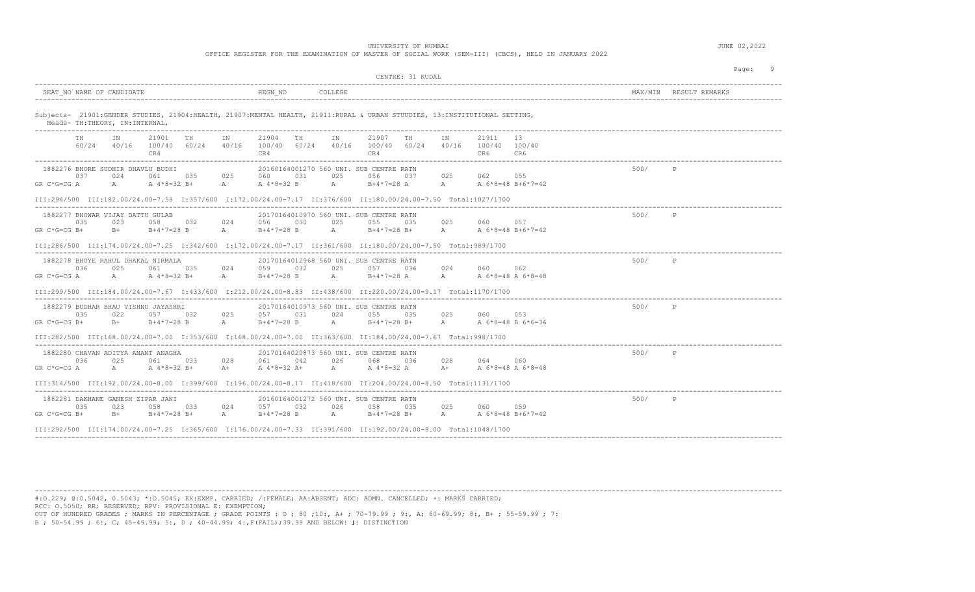OFFICE REGISTER FOR THE EXAMINATION OF MASTER OF SOCIAL WORK (SEM-III) (CBCS), HELD IN JANUARY 2022

| CENTRE: 31 KUDAL                                                                                                                                                                                                                                                                                                                                                                                                  |      | Page:                  |
|-------------------------------------------------------------------------------------------------------------------------------------------------------------------------------------------------------------------------------------------------------------------------------------------------------------------------------------------------------------------------------------------------------------------|------|------------------------|
| SEAT NO NAME OF CANDIDATE<br>REGN NO<br>COLLEGE                                                                                                                                                                                                                                                                                                                                                                   |      | MAX/MIN RESULT REMARKS |
| Subjects- 21901: GENDER STUDIES, 21904: HEALTH, 21907: MENTAL HEALTH, 21911: RURAL & URBAN STUUDIES, 13: INSTITUTIONAL SETTING,<br>Heads- TH: THEORY, IN: INTERNAL,                                                                                                                                                                                                                                               |      |                        |
| 21901<br>21904<br>21907<br>21911<br>13<br>ΙN<br><b>TH</b><br>IN<br>TH<br>ΙN<br>TH<br>IN<br>TH .<br>60/24 40/16<br>100/40 60/24 40/16<br>100/40 60/24 40/16 100/40 60/24 40/16 100/40 100/40<br>CR4<br>CR4<br>CR4<br>CR6<br>CR6                                                                                                                                                                                    |      |                        |
| 1882276 BHORE SUDHIR DHAVLU BUDHI<br>20160164001270 560 UNI. SUB CENTRE RATN<br>025<br>037<br>024<br>061<br>035<br>025<br>031<br>025<br>056<br>062 055<br>060<br>037<br>$A \sim$<br>$B+4*7=28$ A A A 6 * 8 = 48 B + 6 * 7 = 42<br>GR C*G=CG A<br>$A \sim$<br>A 4*8=32 B+<br>A A 4 * 8 = 32 B<br>III:294/500 III:182.00/24.00=7.58 I:357/600 I:172.00/24.00=7.17 II:376/600 II:180.00/24.00=7.50 Total:1027/1700   | 500/ | P                      |
| 1882277 BHOWAR VIJAY DATTU GULAB<br>20170164010970 560 UNI, SUB CENTRE RATN<br>035<br>023<br>058 032<br>024<br>056<br>030<br>025<br>055<br>025<br>060<br>057<br>035<br>$GR C*G=CG B+$<br>$B+$<br>$B+4*7=28$ B A<br>$B+4*7=28$ B<br>$A \sim$<br>$B+4*7=28$ B+ A<br>A 6*8=48 B+6*7=42<br>III:286/500 III:174.00/24.00=7.25 I:342/600 I:172.00/24.00=7.17 II:361/600 II:180.00/24.00=7.50 Total:989/1700             | 500/ | $\mathbb{P}$           |
| 1882278 BHOYE RAHUL DHAKAL NIRMALA<br>20170164012968 560 UNI. SUB CENTRE RATN<br>036<br>025<br>061 035 024<br>032<br>025<br>024<br>059<br>057<br>036<br>060<br>062<br>A<br>$B+4*7=28$ A A A 6 * 8 = 48 A 6 * 8 = 48<br>$GR C*G=CG A$<br>$A \sim$<br>A 4*8=32 B+<br>A $B+4*7=28$ B<br>III:299/500 III:184.00/24.00=7.67 I:433/600 I:212.00/24.00=8.83 II:438/600 II:220.00/24.00=9.17 Total:1170/1700              | 500/ | P                      |
| 1882279 BUDHAR BHAU VISHNU JAYASHRI<br>20170164010973 560 UNI. SUB CENTRE RATN<br>025<br>057 031<br>035<br>022<br>057 032<br>024<br>055 035<br>025<br>060<br>053<br>$B+4*7=28$ B<br>A B+4*7=28 B+ A<br>GR C*G=CG B+<br>$B+$<br>$\mathbb A$<br>$B+4*7=28$ B<br>A 6*8=48 B 6*6=36<br>III:282/500 III:168.00/24.00=7.00 I:353/600 I:168.00/24.00=7.00 II:363/600 II:184.00/24.00=7.67 Total:998/1700                 | 500/ | P                      |
| 1882280 CHAVAN ADITYA ANANT ANAGHA<br>20170164020873 560 UNI. SUB CENTRE RATN<br>036<br>025<br>061 033<br>028<br>042<br>026<br>036<br>028<br>064<br>060<br>061<br>068<br>A 4*8=32 A+<br>A<br>A 4 * 8=32 A A + A 6 * 8 = 48 A 6 * 8 = 48<br>$A$ and $A$<br>A 4*8=32 B+<br>$GR C*G=CG A$<br>$A+$<br>III:314/500 III:192.00/24.00=8.00 I:399/600 I:196.00/24.00=8.17 II:418/600 II:204.00/24.00=8.50 Total:1131/1700 | 500/ | P                      |
| 1882281 DAKHANE GANESH ZIPAR JANI<br>20160164001272 560 UNI. SUB CENTRE RATN<br>035<br>058 033<br>057 032<br>026<br>025<br>059<br>023<br>024<br>058 035<br>060<br>$GR C*G=CG B+$<br>$B+$<br>$B+4*7=28 B+$<br>$B+4*7=28$ B<br>A<br>$B+4*7=28$ B+ $A$ $A +6*8=48$ B+6*7=42<br>$\mathbb{A}$<br>III:292/500 III:174.00/24.00=7.25 I:365/600 I:176.00/24.00=7.33 II:391/600 II:192.00/24.00=8.00 Total:1048/1700       | 500/ | P                      |

---------------------------------------------------------------------------------------------------------------------------------------------------------------------------------------- #:O.229; @:O.5042, 0.5043; \*:O.5045; EX:EXMP. CARRIED; /:FEMALE; AA:ABSENT; ADC: ADMN. CANCELLED; +: MARKS CARRIED; RCC: O.5050; RR: RESERVED; RPV: PROVISIONAL E: EXEMPTION;

OUT OF HUNDRED GRADES ; MARKS IN PERCENTAGE ; GRADE POINTS : O ; 80 ;10:, A+ ; 70-79.99 ; 9:, A; 60-69.99; 8:, B+ ; 55-59.99 ; 7: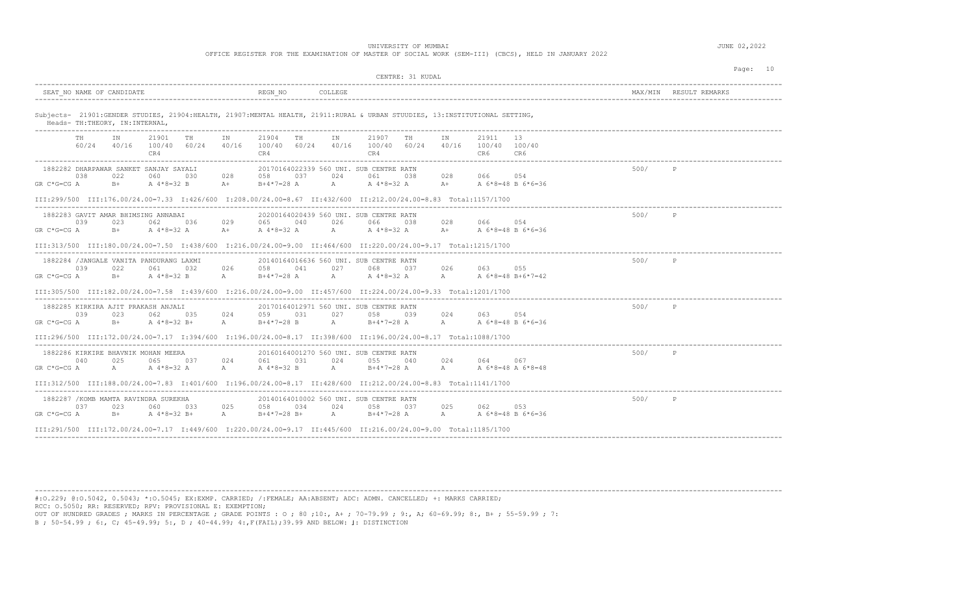UNIVERSITY OF MUMBAI **Alternative COMPUTE 1999** JUNE 02, 2022

OFFICE REGISTER FOR THE EXAMINATION OF MASTER OF SOCIAL WORK (SEM-III) (CBCS), HELD IN JANUARY 2022

| CENTRE: 31 KUDAL                                                                                                                                                                                                                                                                                                                                                                                            |      | Page: 10               |
|-------------------------------------------------------------------------------------------------------------------------------------------------------------------------------------------------------------------------------------------------------------------------------------------------------------------------------------------------------------------------------------------------------------|------|------------------------|
| REGN NO<br>COLLEGE<br>SEAT NO NAME OF CANDIDATE                                                                                                                                                                                                                                                                                                                                                             |      | MAX/MIN RESULT REMARKS |
| Subjects- 21901: GENDER STUDIES, 21904: HEALTH, 21907: MENTAL HEALTH, 21911: RURAL & URBAN STUUDIES, 13: INSTITUTIONAL SETTING,<br>Heads- TH: THEORY, IN: INTERNAL,                                                                                                                                                                                                                                         |      |                        |
| 21901<br><b>TH</b><br>21904<br>IN<br>21907<br>TH<br>21911<br>13<br>TH<br>IN<br>IN<br>TH<br>IN<br>60/24 40/16 100/40 60/24 40/16 100/40 60/24 40/16 100/40 60/24 40/16 100/40 100/40<br>CR4<br>CR4<br>CR4<br>CR6<br>CR6                                                                                                                                                                                      |      |                        |
| 20170164022339 560 UNI. SUB CENTRE RATN<br>1882282 DHARPAWAR SANKET SANJAY SAYALI<br>028 066 054<br>0.38<br>022<br>028<br>058<br>0.37<br>024<br>060<br>0.30<br>061<br>038<br>$B+4*7=28$ A $A+8=32$ A $A+8=3$ A $A+$ A $6*8=48$ B $6*6=36$<br>$GR C*G=CG A$<br>$B+$<br>A 4 * 8 = 32 B A +<br>III:299/500 III:176.00/24.00=7.33 I:426/600 I:208.00/24.00=8.67 II:432/600 II:212.00/24.00=8.83 Total:1157/1700 | 500/ | P                      |
| 1882283 GAVIT AMAR BHIMSING ANNABAI<br>20200164020439 560 UNI. SUB CENTRE RATN<br>029 065 040<br>039<br>023<br>062 036<br>026 066 038<br>028<br>066 054<br>A $4*8=32$ A $4*8=32$ A $4*8=32$ A $4*8=32$ A $4*8=32$ A $4*8=32$ A $4*8=36$ A $6*8=48$ B $6*6=36$<br>GR C*G=CG A<br>$B+$<br>III:313/500 III:180.00/24.00=7.50 I:438/600 I:216.00/24.00=9.00 II:464/600 II:220.00/24.00=9.17 Total:1215/1700     | 500/ | P                      |
| 1882284 / JANGALE VANITA PANDURANG LAXMI<br>20140164016636 560 UNI. SUB CENTRE RATN<br>039<br>022<br>026<br>058<br>041<br>027<br>026<br>055<br>061 032<br>068<br>037<br>063<br>A $4*8=32$ B A $B+4*7=28$ A A $A*8=32$ A A A $6*8=48$ B+ $6*7=42$<br>$GR C*G=CG A$<br>$B+$<br>III:305/500 III:182.00/24.00=7.58 I:439/600 I:216.00/24.00=9.00 II:457/600 II:224.00/24.00=9.33 Total:1201/1700                | 500/ | P                      |
| 1882285 KIRKIRA AJIT PRAKASH ANJALI<br>20170164012971 560 UNI. SUB CENTRE RATN<br>039<br>023<br>062 035<br>024 059 031<br>027 058 039<br>024<br>054<br>063<br>$B+4*7=28$ B $A$ $B+4*7=28$ A $A$ $A$ $A$ $5*8=48$ B $6*6=36$<br>$GR C*G=CG A$<br>$B+$ $A + 8 = 32B +$<br>A<br>III:296/500 III:172.00/24.00=7.17 I:394/600 I:196.00/24.00=8.17 II:398/600 II:196.00/24.00=8.17 Total:1088/1700                | 500/ | P                      |
| 1882286 KIRKIRE BHAVNIK MOHAN MEERA<br>20160164001270 560 UNI, SUB CENTRE RATN<br>025<br>040<br>065<br>037<br>024<br>061<br>031<br>024<br>0.5.5<br>024<br>064<br>040<br>067<br>A A $4*8=32$ B A $B+4*7=28$ A A A $6*8=48$ A $6*8=48$<br>$A \sim 1$<br>A 4*8=32 A<br>$GR C*G=CG A$<br>III:312/500 III:188.00/24.00=7.83 I:401/600 I:196.00/24.00=8.17 II:428/600 II:212.00/24.00=8.83 Total:1141/1700        | 500/ | P                      |
| ----------------------------<br>1882287 / KOMB MAMTA RAVINDRA SUREKHA<br>20140164010002 560 UNI. SUB CENTRE RATN<br>037<br>023<br>060 033<br>025<br>058 034<br>024<br>058 037<br>025<br>062<br>053<br>B+ A 4*8=32 B+ A B+4*7=28 B+ A B+4*7=28 A A A 6*8=48 B 6*6=36<br>GR C*G=CG A<br>III:291/500 III:172.00/24.00=7.17 I:449/600 I:220.00/24.00=9.17 II:445/600 II:216.00/24.00=9.00 Total:1185/1700       | 500/ | P                      |

----------------------------------------------------------------------------------------------------------------------------------------------------------------------------------------

#:O.229; @:O.5042, 0.5043; \*:O.5045; EX:EXMP. CARRIED; /:FEMALE; AA:ABSENT; ADC: ADMN. CANCELLED; +: MARKS CARRIED; RCC: O.5050; RR: RESERVED; RPV: PROVISIONAL E: EXEMPTION;

OUT OF HUNDRED GRADES ; MARKS IN PERCENTAGE ; GRADE POINTS : O ; 80 ;10:, A+ ; 70-79.99 ; 9:, A; 60-69.99; 8:, B+ ; 55-59.99 ; 7: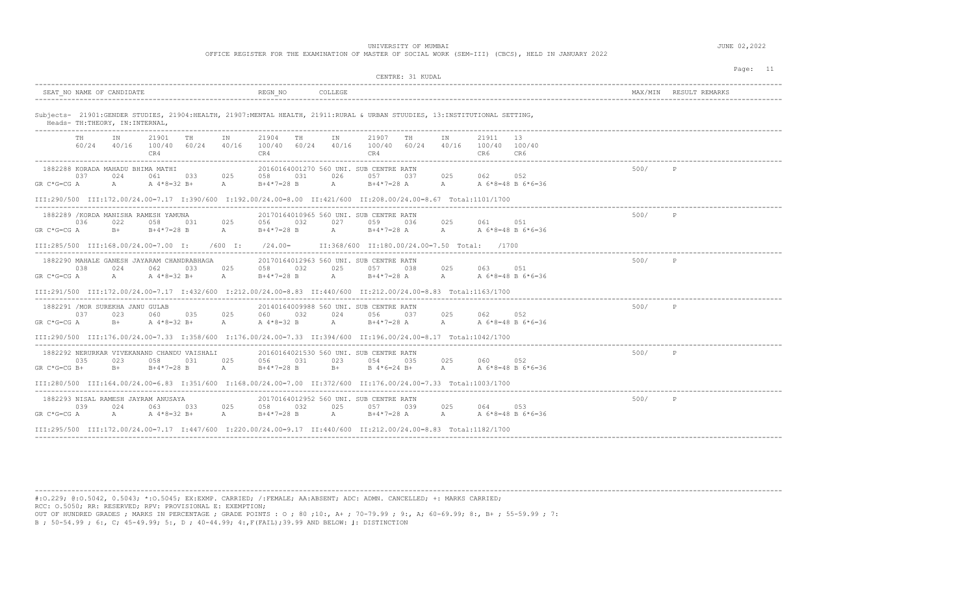OFFICE REGISTER FOR THE EXAMINATION OF MASTER OF SOCIAL WORK (SEM-III) (CBCS), HELD IN JANUARY 2022

|                                                                                                                                                                                                                                                                                                                                                                                                                                         |      | Page: 11               |
|-----------------------------------------------------------------------------------------------------------------------------------------------------------------------------------------------------------------------------------------------------------------------------------------------------------------------------------------------------------------------------------------------------------------------------------------|------|------------------------|
| CENTRE: 31 KUDAL                                                                                                                                                                                                                                                                                                                                                                                                                        |      |                        |
| SEAT NO NAME OF CANDIDATE<br>REGN NO<br>COLLEGE                                                                                                                                                                                                                                                                                                                                                                                         |      | MAX/MIN RESULT REMARKS |
| Subjects- 21901: GENDER STUDIES, 21904: HEALTH, 21907: MENTAL HEALTH, 21911: RURAL & URBAN STUUDIES, 13: INSTITUTIONAL SETTING,<br>Heads- TH: THEORY, IN: INTERNAL,                                                                                                                                                                                                                                                                     |      |                        |
| 21901<br><b>TH</b><br>21904<br>21907<br><b>TH</b><br>21911<br>13<br>IN<br>TH<br>IN<br>IN<br>TH .<br>IN<br>60/24 40/16<br>100/40 60/24 40/16<br>100/40 60/24 40/16 100/40 60/24 40/16 100/40 100/40<br>CR4<br>CR4<br>CR4<br>CR6<br>CR6                                                                                                                                                                                                   |      |                        |
| 20160164001270 560 UNI. SUB CENTRE RATN<br>1882288 KORADA MAHADU BHIMA MATHI<br>025<br>0.37<br>033<br>025<br>026<br>062 052<br>024<br>061<br>0.58<br>031<br>0.57<br>0.37<br>A<br>A A 4 * 8 = 32 B +<br>A $B+4*7=28$ B<br>A A 6 * 8 = 48 B 6 * 6 = 36<br>$GR C*G=CG A$<br>B+4*7=28 A<br>III:290/500 III:172.00/24.00=7.17 I:390/600 I:192.00/24.00=8.00 II:421/600 II:208.00/24.00=8.67 Total:1101/1700                                  | 500/ |                        |
| 1882289 / KORDA MANISHA RAMESH YAMUNA<br>20170164010965 560 UNI, SUB CENTRE RATN<br>036<br>022<br>058<br>031<br>025<br>056 032<br>027<br>059 036<br>025<br>061 051<br>GR C*G=CG A<br>$B+$<br>$B+4*7=28$ B<br>$B+4*7=28$ B A $B+4*7=28$ A A<br>A 6*8=48 B 6*6=36<br>A<br>III:285/500 III:168.00/24.00=7.00 I:<br>$/600$ I:<br>$/24.00=$<br>II:368/600 II:180.00/24.00=7.50 Total: /1700                                                  | 500/ | $\mathbb{P}$           |
| 1882290 MAHALE GANESH JAYARAM CHANDRABHAGA<br>20170164012963 560 UNI. SUB CENTRE RATN<br>038<br>024<br>025<br>058<br>032<br>025<br>025<br>063 051<br>062<br>033<br>057<br>038<br>$A \sim 1$<br>$B+4*7=28$ A A A 6 * 8 = 48 B 6 * 6 = 36<br>$GR C*G=CG A$<br>$A$ and $A$<br>A $4*8=32 B+$<br><b>A</b><br>$B+4*7=28$ B<br>III:291/500 III:172.00/24.00=7.17 I:432/600 I:212.00/24.00=8.83 II:440/600 II:212.00/24.00=8.83 Total:1163/1700 | 500/ | P                      |
| 1882291 / MOR SUREKHA JANU GULAB<br>20140164009988 560 UNI. SUB CENTRE RATN<br>037<br>023<br>060 035<br>025<br>060 032<br>056 037<br>024<br>025<br>062<br>052<br>GR C*G=CG A<br>$B+$<br>A 4*8=32 B+<br>A $4*8=32$ B<br>$A$ and $A$<br>$B+4*7=28$ A A<br>$\mathbb A$<br>A 6*8=48 B 6*6=36<br>III:290/500 III:176.00/24.00=7.33 I:358/600 I:176.00/24.00=7.33 II:394/600 II:196.00/24.00=8.17 Total:1042/1700                             | 500/ | P                      |
| 1882292 NERURKAR VIVEKANAND CHANDU VAISHALI<br>20160164021530 560 UNI. SUB CENTRE RATN<br>035<br>058<br>031<br>023<br>025<br>023<br>031<br>025<br>056<br>054<br>035<br>060<br>052<br>B 4*6=24 B+ A<br>$GR C*G=CG B+$<br>$B +$<br>$B+4*7=28$ B<br>$B+4*7=28$ B<br>$B+$<br>A 6*8=48 B 6*6=36<br>A<br>III:280/500 III:164.00/24.00=6.83 I:351/600 I:168.00/24.00=7.00 II:372/600 II:176.00/24.00=7.33 Total:1003/1700                      | 500/ | P                      |
| 20170164012952 560 UNI. SUB CENTRE RATN<br>1882293 NISAL RAMESH JAYRAM ANUSAYA<br>039<br>024<br>025<br>032<br>025<br>025<br>063 033<br>058<br>057 039<br>064<br>053<br>A B+4*7=28 B A B+4*7=28 A A A 6*8=48 B 6*6=36<br>GR C*G=CG A<br>A A 4 * 8 = 32 B +<br>III:295/500 III:172.00/24.00=7.17 I:447/600 I:220.00/24.00=9.17 II:440/600 II:212.00/24.00=8.83 Total:1182/1700                                                            | 500/ | P                      |

----------------------------------------------------------------------------------------------------------------------------------------------------------------------------------------

#:O.229; @:O.5042, 0.5043; \*:O.5045; EX:EXMP. CARRIED; /:FEMALE; AA:ABSENT; ADC: ADMN. CANCELLED; +: MARKS CARRIED; RCC: O.5050; RR: RESERVED; RPV: PROVISIONAL E: EXEMPTION;

OUT OF HUNDRED GRADES ; MARKS IN PERCENTAGE ; GRADE POINTS : O ; 80 ;10:, A+ ; 70-79.99 ; 9:, A; 60-69.99; 8:, B+ ; 55-59.99 ; 7: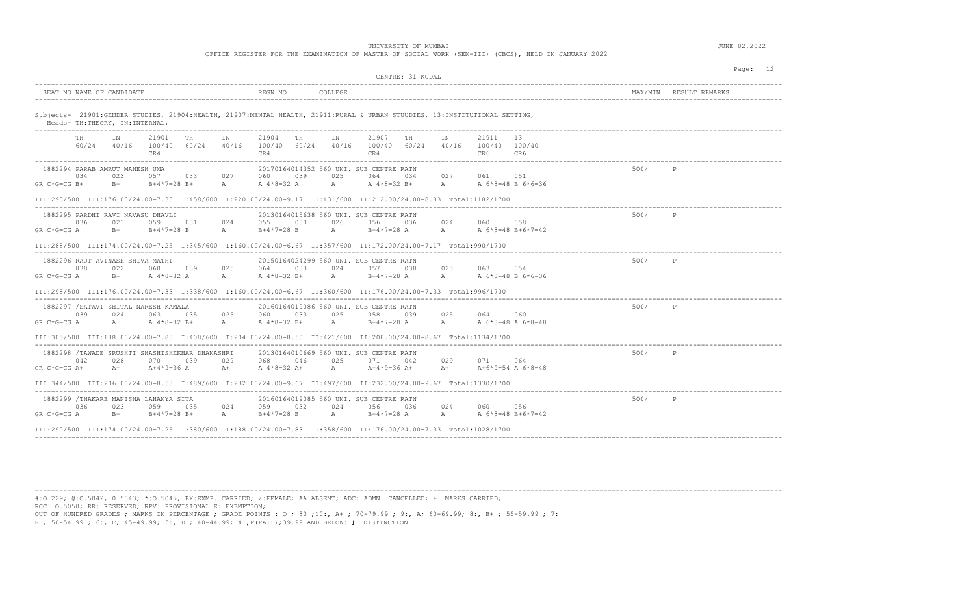UNIVERSITY OF MUMBAI **Alternative COMPUTE 1999** JUNE 02, 2022

OFFICE REGISTER FOR THE EXAMINATION OF MASTER OF SOCIAL WORK (SEM-III) (CBCS), HELD IN JANUARY 2022

| CENTRE: 31 KUDAL                                                                                                                                                                                                                                                                                                                                                                                                                |      | Page: 12               |
|---------------------------------------------------------------------------------------------------------------------------------------------------------------------------------------------------------------------------------------------------------------------------------------------------------------------------------------------------------------------------------------------------------------------------------|------|------------------------|
| SEAT NO NAME OF CANDIDATE<br>REGN NO<br>COLLEGE                                                                                                                                                                                                                                                                                                                                                                                 |      | MAX/MIN RESULT REMARKS |
| Subjects- 21901: GENDER STUDIES, 21904: HEALTH, 21907: MENTAL HEALTH, 21911: RURAL & URBAN STUUDIES, 13: INSTITUTIONAL SETTING,<br>Heads- TH: THEORY, IN: INTERNAL,                                                                                                                                                                                                                                                             |      |                        |
| 21901<br>21904<br>21907<br>21911<br>13<br>TN<br><b>TH</b><br>IN<br>TH<br>TN<br>TH<br>TN<br>TH<br>60/24 40/16<br>100/40 60/24 40/16<br>$100/40$ 60/24 40/16 100/40 60/24 40/16 100/40 100/40<br>CR4<br>CR4<br>CR4<br>CR6<br>CR6                                                                                                                                                                                                  |      |                        |
| 1882294 PARAB AMRUT MAHESH UMA<br>20170164014352 560 UNI. SUB CENTRE RATN<br>034<br>023<br>033 027<br>060<br>039<br>025<br>064<br>034<br>027 061 051<br>$A^4*8=32 A$ A<br>A A 6 * 8 = 48 B 6 * 6 = 36<br>$GR C*G=CG B+$<br>$B+$<br>$B+4*7=28 B+$<br>A<br>A 4*8=32 B+<br>III:293/500 III:176.00/24.00=7.33 I:458/600 I:220.00/24.00=9.17 II:431/600 II:212.00/24.00=8.83 Total:1182/1700                                         | 500/ |                        |
| 1882295 PARDHI RAVI NAVASU DHAVLI<br>20130164015638 560 UNI, SUB CENTRE RATN<br>036<br>023<br>059 031<br>024<br>055 030<br>026<br>024<br>058<br>056 036<br>060<br>$GR C*G=CG A$<br>$B+4*7=28$ B<br>$A \sim$<br>$B+4*7=28$ A A<br>$B+$<br>$\mathbb A$<br>$B+4*7=28$ B<br>A 6*8=48 B+6*7=42<br>III:288/500 III:174.00/24.00=7.25 I:345/600 I:160.00/24.00=6.67 II:357/600 II:172.00/24.00=7.17 Total:990/1700                     | 500/ | P                      |
| 20150164024299 560 UNI, SUB CENTRE RATN<br>1882296 RAUT AVINASH BHIVA MATHI<br>038<br>022<br>025<br>033<br>024<br>025<br>063 054<br>060 039<br>064<br>057<br>038<br>$B+4*7=28$ A A A 6 * 8 = 48 B 6 * 6 = 36<br>A 4*8=32 A<br>$\mathbb A$<br>A 4*8=32 B+<br>A<br>$GR C*G=CG A$<br>$B+$<br>III:298/500 III:176.00/24.00=7.33 I:338/600 I:160.00/24.00=6.67 II:360/600 II:176.00/24.00=7.33 Total:996/1700                        | 500/ | P                      |
| 1882297 / SATAVI SHITAL NARESH KAMALA<br>20160164019086 560 UNI. SUB CENTRE RATN<br>039<br>063 035<br>025<br>060 033<br>025<br>058 039<br>025<br>060<br>024<br>064<br>$GR C*G=CG A$<br>$A \sim 1$<br>A $4*8=32 B+$<br>A $4*8=32$ B+<br>$A$ and $A$<br>$B+4*7=28$ A $A$ A $6*8=48$ A $6*8=48$<br>$\mathbb{A}$<br>III:305/500 III:188.00/24.00=7.83 I:408/600 I:204.00/24.00=8.50 II:421/600 II:208.00/24.00=8.67 Total:1134/1700 | 500/ | P                      |
| 20130164010669 560 UNI, SUB CENTRE RATN<br>1882298 /TAWADE SRUSHTI SHASHISHEKHAR DHANASHRI<br>042<br>028<br>070<br>039<br>029<br>068<br>046<br>025<br>071<br>029<br>042<br>071<br>064<br>$A+4*9=36$ A<br>A 4*8=32 A+<br>A<br>$A+4*9=36$ $A+$ $A+$<br>$A+6*9=54$ A $6*8=48$<br>$GR C*G=CG A+$<br>$A+$<br>$A+$<br>III:344/500 III:206.00/24.00=8.58 I:489/600 I:232.00/24.00=9.67 II:497/600 II:232.00/24.00=9.67 Total:1330/1700 | 500/ | P                      |
| 20160164019085 560 UNI, SUB CENTRE RATN<br>1882299 /THAKARE MANISHA LAHANYA SITA<br>036<br>024<br>023<br>059 035<br>024<br>059<br>032<br>056 036<br>024<br>060<br>056<br>$B+$<br>A $B+4*7=28$ B<br>A B+4*7=28 A A A 6*8=48 B+6*7=42<br>GR C*G=CG A<br>$B+4*7=28 B+$<br>III:290/500 III:174.00/24.00=7.25 I:380/600 I:188.00/24.00=7.83 II:358/600 II:176.00/24.00=7.33 Total:1028/1700                                          | 500/ | P                      |

----------------------------------------------------------------------------------------------------------------------------------------------------------------------------------------

#:O.229; @:O.5042, 0.5043; \*:O.5045; EX:EXMP. CARRIED; /:FEMALE; AA:ABSENT; ADC: ADMN. CANCELLED; +: MARKS CARRIED; RCC: O.5050; RR: RESERVED; RPV: PROVISIONAL E: EXEMPTION;

OUT OF HUNDRED GRADES ; MARKS IN PERCENTAGE ; GRADE POINTS : O ; 80 ;10:, A+ ; 70-79.99 ; 9:, A; 60-69.99; 8:, B+ ; 55-59.99 ; 7: